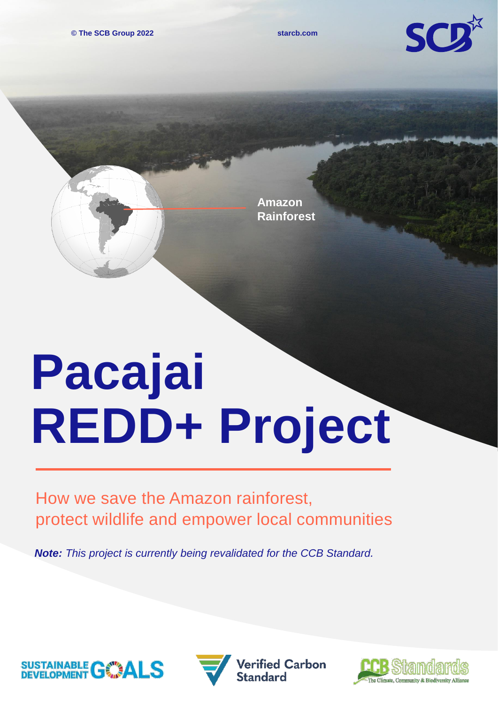**© The SCB Group 2022 starcb.com**



**Amazon Rainforest**

## **Pacajai REDD+ Project**

How we save the Amazon rainforest, protect wildlife and empower local communities

*Note: This project is currently being revalidated for the CCB Standard.*